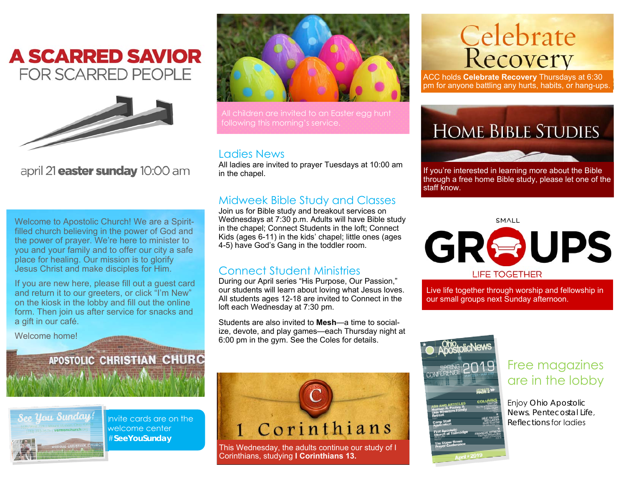### **A SCARRED SAVIOR FOR SCARRED PEOPLE**



april 21 **easter sunday** 10:00 am

Welcome to Apostolic Church! We are a Spiritfilled church believing in the power of God and the power of prayer. We're here to minister to you and your family and to offer our city a safe place for healing. Our mission is to glorify Jesus Christ and make disciples for Him.

If you are new here, please fill out a guest card and return it to our greeters, or click "I'm New" on the kiosk in the lobby and fill out the online form. Then join us after service for snacks and a gift in our café.

**Some of A striver the world** 

APOSTOLIC CHRISTIAN CHURC

Invite cards are on the welcome center #**SeeYouSunday** 

Welcome home!

Ree, Ursu Sunday

All children are invited to an Easter egg hunt following this morning's service.

#### Ladies News

All ladies are invited to prayer Tuesdays at 10:00 am in the chapel.

#### Midweek Bible Study and Classes

Join us for Bible study and breakout services on Wednesdays at 7:30 p.m. Adults will have Bible study in the chapel; Connect Students in the loft; Connect Kids (ages 6-11) in the kids' chapel; little ones (ages 4-5) have God's Gang in the toddler room.

#### Connect Student Ministries

During our April series "His Purpose, Our Passion," our students will learn about loving what Jesus loves. All students ages 12-18 are invited to Connect in the loft each Wednesday at 7:30 pm.

Students are also invited to **Mesh**—a time to socialize, devote, and play games—each Thursday night at 6:00 pm in the gym. See the Coles for details.

## 1 Corinthians This Wednesday, the adults continue our study of I

Corinthians, studying **I Corinthians 13.**

# **Celebrate**<br>Recovery

ACC holds **Celebrate Recovery** Thursdays at 6:30 pm for anyone battling any hurts, habits, or hang-ups.



If you're interested in learning more about the Bible through a free home Bible study, please let one of the staff know.

SMALL



Live life together through worship and fellowship in our small groups next Sunday afternoon.



#### Free magazines are in the lobby

Enjoy *Ohio Apostolic News*, *Pentecostal Life*, *Reflections* for ladies